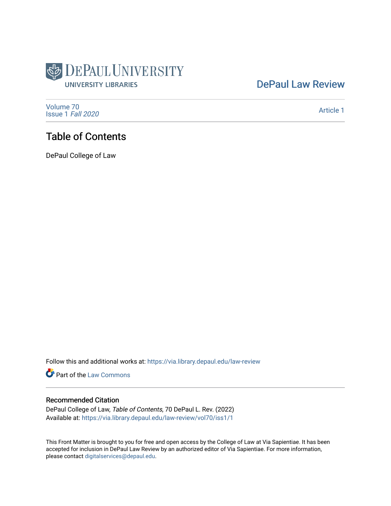

## [DePaul Law Review](https://via.library.depaul.edu/law-review)

[Volume 70](https://via.library.depaul.edu/law-review/vol70) [Issue 1](https://via.library.depaul.edu/law-review/vol70/iss1) Fall 2020

[Article 1](https://via.library.depaul.edu/law-review/vol70/iss1/1) 

# Table of Contents

DePaul College of Law

Follow this and additional works at: [https://via.library.depaul.edu/law-review](https://via.library.depaul.edu/law-review?utm_source=via.library.depaul.edu%2Flaw-review%2Fvol70%2Fiss1%2F1&utm_medium=PDF&utm_campaign=PDFCoverPages) 

Part of the [Law Commons](http://network.bepress.com/hgg/discipline/578?utm_source=via.library.depaul.edu%2Flaw-review%2Fvol70%2Fiss1%2F1&utm_medium=PDF&utm_campaign=PDFCoverPages)

### Recommended Citation

DePaul College of Law, Table of Contents, 70 DePaul L. Rev. (2022) Available at: [https://via.library.depaul.edu/law-review/vol70/iss1/1](https://via.library.depaul.edu/law-review/vol70/iss1/1?utm_source=via.library.depaul.edu%2Flaw-review%2Fvol70%2Fiss1%2F1&utm_medium=PDF&utm_campaign=PDFCoverPages) 

This Front Matter is brought to you for free and open access by the College of Law at Via Sapientiae. It has been accepted for inclusion in DePaul Law Review by an authorized editor of Via Sapientiae. For more information, please contact [digitalservices@depaul.edu.](mailto:digitalservices@depaul.edu)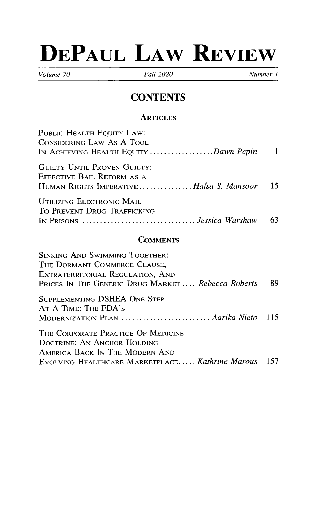# **DEPAUL LAW REVIEW**

*Volume 70 Fall 2020 Number 1*

# **CONTENTS**

### **ARTICLES**

| PUBLIC HEALTH EQUITY LAW:                  |     |
|--------------------------------------------|-----|
| CONSIDERING LAW AS A TOOL                  |     |
| IN ACHIEVING HEALTH EQUITY Dawn Pepin 1    |     |
| <b>GUILTY UNTIL PROVEN GUILTY:</b>         |     |
| EFFECTIVE BAIL REFORM AS A                 |     |
| HUMAN RIGHTS IMPERATIVEHafsa S. Mansoor 15 |     |
| UTILIZING ELECTRONIC MAIL                  |     |
| TO PREVENT DRUG TRAFFICKING                |     |
| In Prisons <i>Jessica Warshaw</i>          | -63 |
|                                            |     |

### **COMMENTS**

| <b>SINKING AND SWIMMING TOGETHER:</b>                                             |     |
|-----------------------------------------------------------------------------------|-----|
| THE DORMANT COMMERCE CLAUSE,                                                      |     |
| EXTRATERRITORIAL REGULATION, AND                                                  |     |
| PRICES IN THE GENERIC DRUG MARKET Rebecca Roberts                                 | 89  |
| SUPPLEMENTING DSHEA ONE STEP<br>AT A TIME: THE FDA'S                              |     |
| MODERNIZATION PLAN  Aarika Nieto 115                                              |     |
| THE CORPORATE PRACTICE OF MEDICINE<br>DOCTRINE: AN ANCHOR HOLDING                 |     |
| AMERICA BACK IN THE MODERN AND<br>EVOLVING HEALTHCARE MARKETPLACE Kathrine Marous | 157 |
|                                                                                   |     |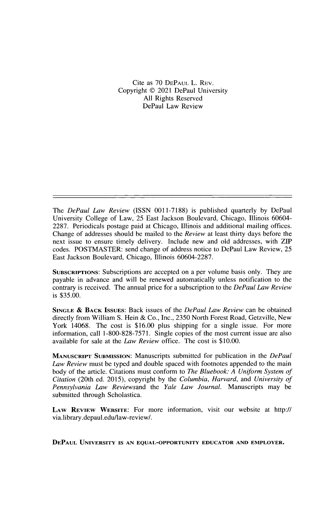### Cite as 70 DEPAUL L. REV. Copyright © 2021 DePaul University All Rights Reserved DePaul Law Review

The *DePaul Law Review* (ISSN 0011-7188) is published quarterly by DePaul University College of Law, *25* East Jackson Boulevard, Chicago, Illinois 60604- 2287. Periodicals postage paid at Chicago, **Illinois and** additional mailing offices. Change of addresses should be mailed to the *Review* at least thirty days before the **next** issue to ensure timely delivery. Include new and old addresses, with ZIP codes. POSTMASTER: send change of address notice to DePaul Law Review, 25 East Jackson Boulevard, Chicago, Illinois 60604-2287.

**SUBSCRIPTIONS:** Subscriptions are accepted on a per volume basis only. They are payable in advance and will be renewed automatically **unless** notification to the contrary is received. The annual price for a subscription to the *DePaul Law Review* is \$35.00.

**SINGLE** & **BACK ISSUES:** Back issues of the *DePaul Law Review* can be obtained directly from William S. **Hein** & Co., Inc., 2350 North Forest Road, Getzville, New York 14068. The cost is \$16.00 plus shipping for a single issue. For more information, call 1-800-828-7571. Single copies of the most current **issue are also** available for sale at the *Law Review* office. The cost is \$10.00.

**MANUSCRIPT SUBMISSION:** Manuscripts submitted for publication in the *DePaul Law Review* must be typed and double spaced with footnotes appended to the main body of the article. Citations must conform to *The Bluebook: A Uniform System of Citation* (20th ed. 2015), copyright by the *Columbia, Harvard,* and *University of Pennsylvania Law Reviewsand* the *Yale Law Journal.* Manuscripts may be submitted through Scholastica.

**LAW REVIEW WEBSITE:** For more information, visit our website at http:// via.library.depaul.edu/aw-review/.

**DEPAUL UNIVERSITY IS AN EQUAL-OPPORTUNITY EDUCATOR AND EMPLOYER.**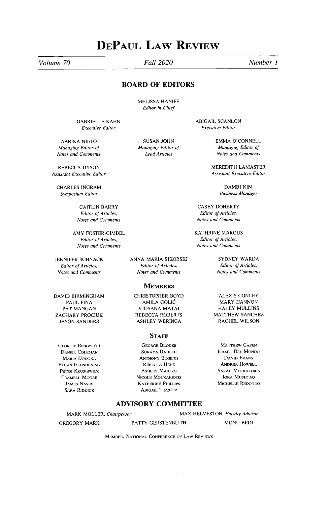# **DEPAUL LAW REVIEW**

*Volume 70 Fall 2020 Number ]*

### **BOARD OF EDITORS**

MELISSA HANIFF Editor in Chief

GABRIELLE KAHN Executive Editor

AARIKA NIETO *Managing* Editor of **Notes and** *Comments*

REBECCA DYSON Assistant **Executive Editor**

CHARLES INGRAM *Symposium* **Editor**

> CAITLIN BARRY **Editor** of Articles, *Notes and Comments*

AMY FOSTER-GIMBEL **Editor** of Articles, *Notes and Comments*

JENNIFER SCHNACK Editor of Articles, *Notes and Comments*

DAVID BIRMINGHAM PAUL FINA PAT MANGAN ZACHARY PROCIUK JASON SANDERS

**GEORGIE BIERWIRTH DANIEL COLEMAN MARIA DODONA ETHAN GLENDENING PETER KRUSIEWICZ, TRAMELL MOORE JAMES NASIRI SARA RIDDICK**

SUSAN JOHN *Managing* Editor of *Lead Articles*

ABIGAIL SCANLON **Executive Editor**

> EMMA O'CONNELL *Managing* Editor *of* Notes *and Comments*

MEREDITH LAMASTER Assistant Executive Editor

> DAMBI KIM *Business Manager*

CASEY DOHERTY Editor of Articles, *Notes and Comments*

KATHRINE MAROUS Editor of Articles, Notes *and Comments*

> SYDNEY WARDA **Editor** of Articles, *Notes and Comments*

**MEMBERS** CHRISTOPHER BOYD AMILA GOLIC

VJOSANA MATAJ REBECCA ROBERTS ASHLEY WERINGA

ANNA MARIA SIKORSKI Editor of Articles, *Notes and Comments*

### **STAFF**

**GEORGE BLODER SURAYA DAHLEH ANTHONY EUGENIS REBECCA** HENz **ASHLEY MASTRO NICOLE MOUZAKIOTIS KAITHERINE PHILLIPS ABIGAIL TEASTER**

ALEXIS CONLEY MARY HANNON HALEY MULLINS MATTHEW SANCHEZ RACHEL WILSON

**MATTHEW CAPEN ISRAEL DEL MUNDO DAVID EVANS ANDREA HOWELL SARAH MERKATORIS IQRA MUSHTAQ MICHELLE REDONDO**

### **ADVISORY COMMITTEE**

MARK MOLLER, *Chairperson*

GREGORY MARK

PATTY GERSTENBLITH MONU BEDI

MAX HELVESTON, **Faculty** *Advisor*

**MEMBER, NATIONAL CONFERENCE OF LAW REVIEWS**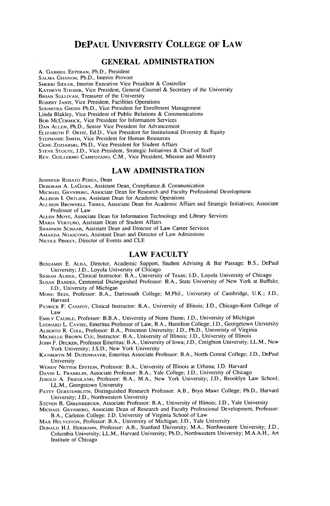### **DEPAUL UNIVERSITY COLLEGE OF LAW**

### **GENERAL ADMINISTRATION**

A. **GABRIEL ESTEBAN,** Ph.D., President

SALMA GHANEM, Ph.D., Interim Provost **SHERRI SIDLER, Interim Executive** Vice President & Controller

KATHRYN STIEBER, Vice President, General Counsel & Secretary of the University

BRIAN SULLIVAN, Treasurer of the University

ROBERT JANIS, Vice President, Facilities Operations

SOUMITRA GHOSH Ph.D., Vice President for Enrollment Management

Linda Blakley, Vice President **of Public Relations** & Communications

BOB MCCORMICK, Vice President for Information Services

DAN ALLEN, Ph.D., Senior Vice President for Advancement

ELIZABETH F. ORTIz, Ed.D., Vice President **for Institutional** Diversity & Equity

STEPHANIE SMITH, Vice President **for Human** Resources

GENE ZDzIARSKI, Ph.D., Vice President for Student Affairs

STEVE STOUTE, J.D., Vice President, Strategic **Initiatives** & Chief of Staff

REV. GUILLERMO CAMPUZANO, C.M., Vice President, **Mission and** Ministry

### **LAW ADMINISTRATION**

**JENNIFER ROSATO PEREA,** Dean

**DEBORAH** A. **LAGIOIA, Assistant** Dean, Compliance.& Communication

**MICHAEL GRYNBERG,** Associate Dean for Research and Faculty Professional Development

ALLISON I. ORTLIEB, Assistant Dean for Academic Operations

ALLISON BROWNELL TIRRES, Associate Dean for Academic Affairs and Strategic **Initiatives;** Associate Professor of Law

ALLEN MoYE, Associate **Dean for Information** Technology and Library Services

MARIA VERTUNO, Assistant Dean of Student Affairs

SHANNON SCHAAB, Assistant Dean and Director of Law Career Services

AMANDA NOASCONo, Assistant Dean and Director of Law Admissions

NICOLE **PINKEY,** Director of Events and CLE

### **LAW FACULTY**

**BENJAMIN** E. **ALBA,** Director, Academic Support, Student Advising **& Bar Passage:** B.S., DePaul University; J.D., Loyola University of Chicago

SIOBAN ALBIOL, Clinical Instructor: B.A., University of Texas; J.D., Loyola University of Chicago

- SUSAN BANDES, Centennial **Distinguished** Professor: B.A., State University of New York at Buffalo; J.D., University of Michigan
- MONU **BEDI,** Professor: B.A., Dartmouth College; M.Phil., University of Cambridge, U.K.; J.D., Harvard
- **PATRICK** F. **CASSIDY,** Clinical Instructor: B.A., University **of Illinois;** J.D., Chicago-Kent College of Law

EMILY CAUBLE, Professor: B.B.A., University of Notre Dame; J.D., University of Michigan

LEONARD L. **CAVISE,** Emeritus Professor of Law, B.A., Hamilton College; J.D., Georgetown University ALBERTO R. **COLL,** Professor: B.A., Princeton University; J.D., Ph.D., University of Virginia

**MICHELLE BROWN** CUE, **Instructor:** B.A., University **of Illinois;** J.D., University of Illinois

- **JOHN** F. **DECKER,** Professor **Emeritus:** B.A., University of Iowa; J.D., Creighton University; LL.M., New York University; J.S.D., New York University
- **KATHERYN** M. DUTENHAVER, **Emeritus** Associate Professor: B.A., North Central College; J.D., DePaul University

WENDY NETTER EPSTEIN, Professor: B.A., University of Illinois at Urbana; J.D. Harvard

**DAVID** L. **FRANKLIN,** Associate Professor: B.A., Yale College; J.D., University of Chicago

**JEROLD** A. FRIEDLAND, Professor: B.A., M.A., New York University; J.D., Brooklyn Law School; LL.M., Georgetown University

PATTY GERSTENBLrrH, **Distinguished** Research Professor: A.B., Bryn Mawr College; Ph.D., Harvard University; J.D., Northwestern University

**STEVEN** R. **GREENBERGER,** Associate Professor: B.A., University **of Illinois;** I.D., Yale University

**MICHAEL GRYNBERG,** Associate Dean of Research and Faculty Professional Development, Professor: B.A., Carleton College: J.D. University of Virginia School of Law

MAx HELVESTON, Professor: B.A., University of Michigan; J.D., Yale University

DONALD H.J. HERMANN, Professor: A.B., Stanford University; M.A., Northwestern University; J.D., Columbia University; LL.M., Harvard University; Ph.D., Northwestern University; M.A.A.H., Art **Institute** of Chicago